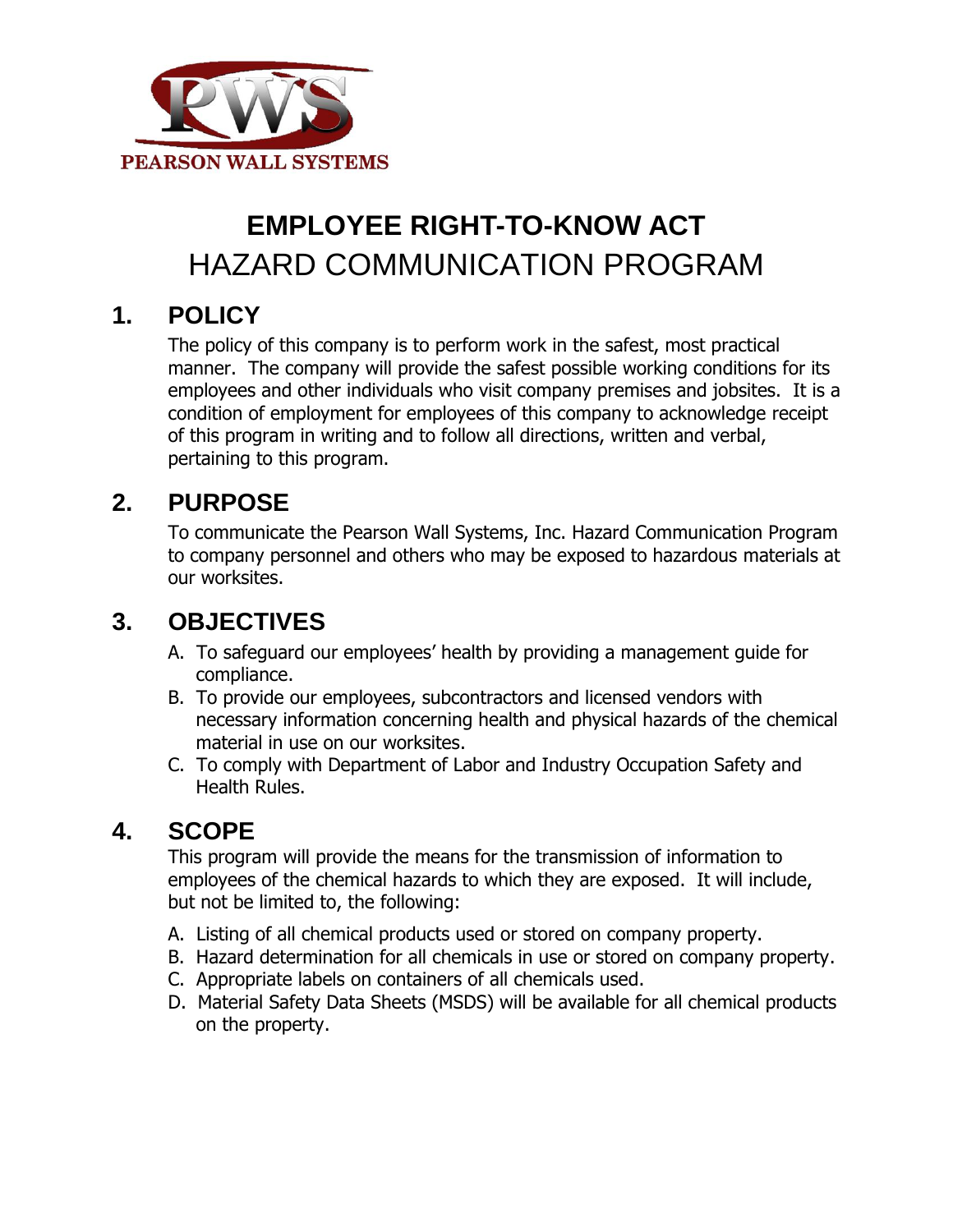

# **EMPLOYEE RIGHT-TO-KNOW ACT** HAZARD COMMUNICATION PROGRAM

# **1. POLICY**

The policy of this company is to perform work in the safest, most practical manner. The company will provide the safest possible working conditions for its employees and other individuals who visit company premises and jobsites. It is a condition of employment for employees of this company to acknowledge receipt of this program in writing and to follow all directions, written and verbal, pertaining to this program.

### **2. PURPOSE**

To communicate the Pearson Wall Systems, Inc. Hazard Communication Program to company personnel and others who may be exposed to hazardous materials at our worksites.

# **3. OBJECTIVES**

- A. To safeguard our employees' health by providing a management guide for compliance.
- B. To provide our employees, subcontractors and licensed vendors with necessary information concerning health and physical hazards of the chemical material in use on our worksites.
- C. To comply with Department of Labor and Industry Occupation Safety and Health Rules.

### **4. SCOPE**

This program will provide the means for the transmission of information to employees of the chemical hazards to which they are exposed. It will include, but not be limited to, the following:

- A. Listing of all chemical products used or stored on company property.
- B. Hazard determination for all chemicals in use or stored on company property.
- C. Appropriate labels on containers of all chemicals used.
- D. Material Safety Data Sheets (MSDS) will be available for all chemical products on the property.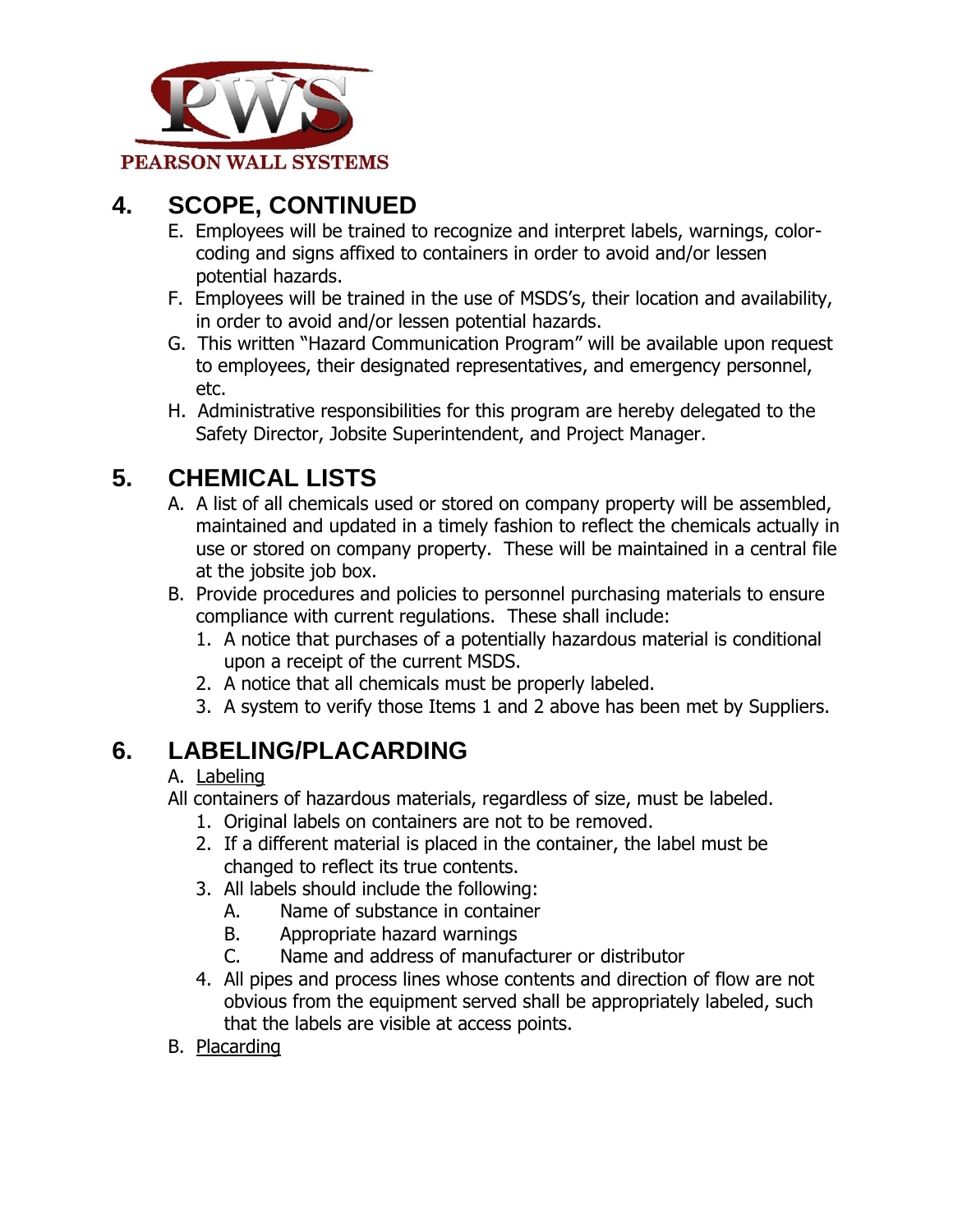

# **4. SCOPE, CONTINUED**

- E. Employees will be trained to recognize and interpret labels, warnings, colorcoding and signs affixed to containers in order to avoid and/or lessen potential hazards.
- F. Employees will be trained in the use of MSDS's, their location and availability, in order to avoid and/or lessen potential hazards.
- G. This written "Hazard Communication Program" will be available upon request to employees, their designated representatives, and emergency personnel, etc.
- H. Administrative responsibilities for this program are hereby delegated to the Safety Director, Jobsite Superintendent, and Project Manager.

# **5. CHEMICAL LISTS**

- A. A list of all chemicals used or stored on company property will be assembled, maintained and updated in a timely fashion to reflect the chemicals actually in use or stored on company property. These will be maintained in a central file at the jobsite job box.
- B. Provide procedures and policies to personnel purchasing materials to ensure compliance with current regulations. These shall include:
	- 1. A notice that purchases of a potentially hazardous material is conditional upon a receipt of the current MSDS.
	- 2. A notice that all chemicals must be properly labeled.
	- 3. A system to verify those Items 1 and 2 above has been met by Suppliers.

# **6. LABELING/PLACARDING**

#### A. Labeling

- All containers of hazardous materials, regardless of size, must be labeled.
	- 1. Original labels on containers are not to be removed.
	- 2. If a different material is placed in the container, the label must be changed to reflect its true contents.
	- 3. All labels should include the following:
		- A. Name of substance in container
		- B. Appropriate hazard warnings
		- C. Name and address of manufacturer or distributor
	- 4. All pipes and process lines whose contents and direction of flow are not obvious from the equipment served shall be appropriately labeled, such that the labels are visible at access points.
- B. Placarding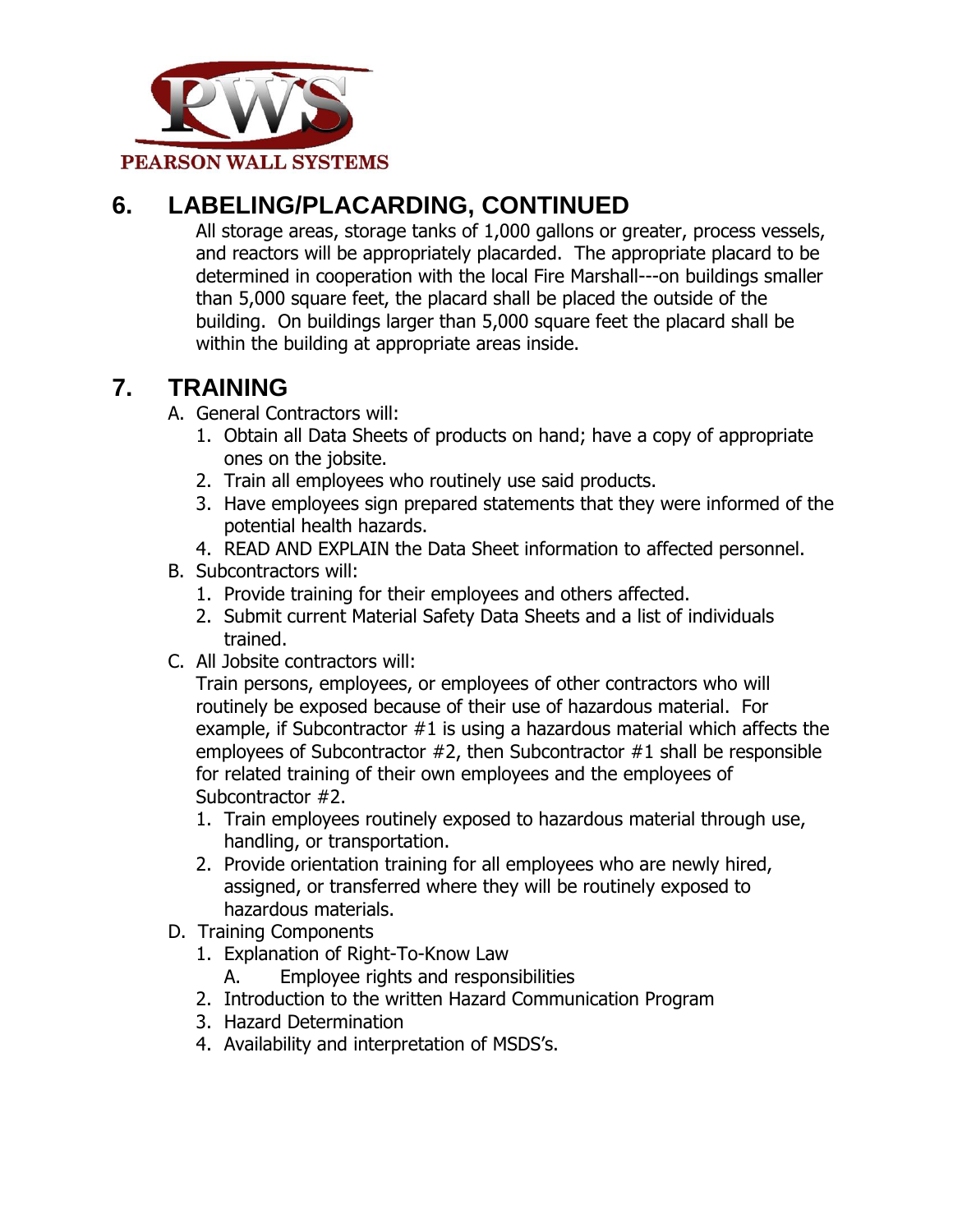

# **6. LABELING/PLACARDING, CONTINUED**

All storage areas, storage tanks of 1,000 gallons or greater, process vessels, and reactors will be appropriately placarded. The appropriate placard to be determined in cooperation with the local Fire Marshall---on buildings smaller than 5,000 square feet, the placard shall be placed the outside of the building. On buildings larger than 5,000 square feet the placard shall be within the building at appropriate areas inside.

### **7. TRAINING**

- A. General Contractors will:
	- 1. Obtain all Data Sheets of products on hand; have a copy of appropriate ones on the jobsite.
	- 2. Train all employees who routinely use said products.
	- 3. Have employees sign prepared statements that they were informed of the potential health hazards.
	- 4. READ AND EXPLAIN the Data Sheet information to affected personnel.
- B. Subcontractors will:
	- 1. Provide training for their employees and others affected.
	- 2. Submit current Material Safety Data Sheets and a list of individuals trained.
- C. All Jobsite contractors will:

Train persons, employees, or employees of other contractors who will routinely be exposed because of their use of hazardous material. For example, if Subcontractor #1 is using a hazardous material which affects the employees of Subcontractor #2, then Subcontractor #1 shall be responsible for related training of their own employees and the employees of Subcontractor #2.

- 1. Train employees routinely exposed to hazardous material through use, handling, or transportation.
- 2. Provide orientation training for all employees who are newly hired, assigned, or transferred where they will be routinely exposed to hazardous materials.
- D. Training Components
	- 1. Explanation of Right-To-Know Law
		- A. Employee rights and responsibilities
	- 2. Introduction to the written Hazard Communication Program
	- 3. Hazard Determination
	- 4. Availability and interpretation of MSDS's.